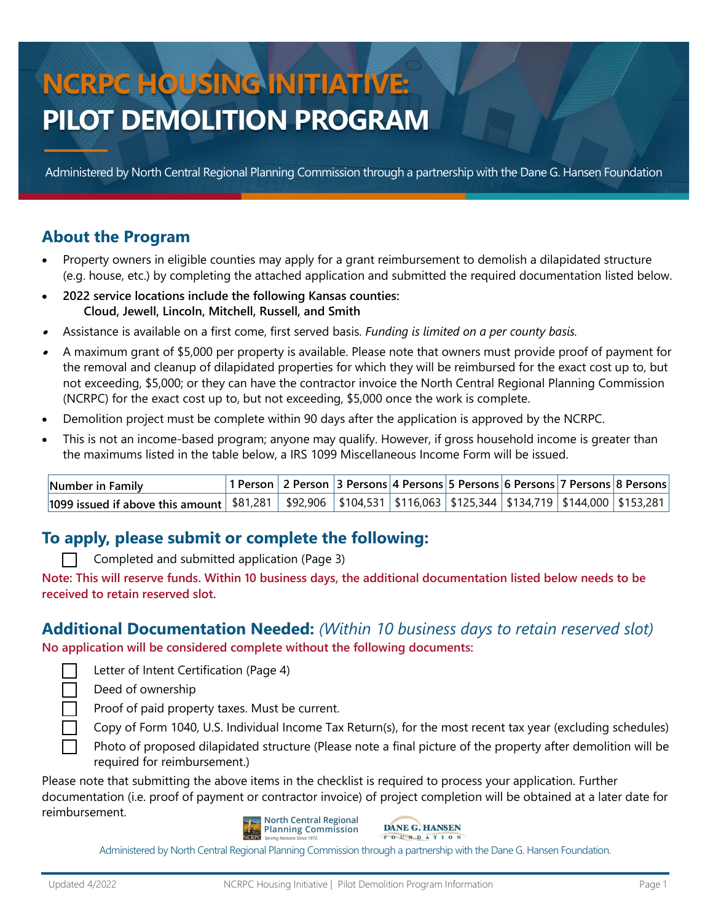# **NCRPC HOUSING INITIATIVE: PILOT DEMOLITION PROGRAM**

Administered by North Central Regional Planning Commission through a partnership with the Dane G. Hansen Foundation

#### **About the Program**

- Property owners in eligible counties may apply for a grant reimbursement to demolish a dilapidated structure (e.g. house, etc.) by completing the attached application and submitted the required documentation listed below.
- **2022 service locations include the following Kansas counties: Cloud, Jewell, Lincoln, Mitchell, Russell, and Smith**
- •Assistance is available on a first come, first served basis. *Funding is limited on a per county basis.*
- • A maximum grant of \$5,000 per property is available. Please note that owners must provide proof of payment for the removal and cleanup of dilapidated properties for which they will be reimbursed for the exact cost up to, but not exceeding, \$5,000; or they can have the contractor invoice the North Central Regional Planning Commission (NCRPC) for the exact cost up to, but not exceeding, \$5,000 once the work is complete.
- Demolition project must be complete within 90 days after the application is approved by the NCRPC.
- This is not an income-based program; anyone may qualify. However, if gross household income is greater than the maximums listed in the table below, a IRS 1099 Miscellaneous Income Form will be issued.

| Number in Family                                                                                                               |  | 1 Person   2 Person   3 Persons   4 Persons   5 Persons   6 Persons   7 Persons   8 Persons |  |  |  |
|--------------------------------------------------------------------------------------------------------------------------------|--|---------------------------------------------------------------------------------------------|--|--|--|
| 1099 issued if above this amount   \$81,281   \$92,906   \$104,531   \$116,063   \$125,344   \$134,719   \$144,000   \$153,281 |  |                                                                                             |  |  |  |

#### **To apply, please submit or complete the following:**

|  | Completed and submitted application (Page 3) |  |  |
|--|----------------------------------------------|--|--|
|--|----------------------------------------------|--|--|

**Note: This will reserve funds. Within 10 business days, the additional documentation listed below needs to be received to retain reserved slot.** 

#### **Additional Documentation Needed:** *(Within 10 business days to retain reserved slot)*

**No application will be considered complete without the following documents:**

Letter of Intent Certification (Page 4)

Deed of ownership

Proof of paid property taxes. Must be current.

Copy of Form 1040, U.S. Individual Income Tax Return(s), for the most recent tax year (excluding schedules)

Photo of proposed dilapidated structure (Please note a final picture of the property after demolition will be required for reimbursement.)

Please note that submitting the above items in the checklist is required to process your application. Further documentation (i.e. proof of payment or contractor invoice) of project completion will be obtained at a later date for reimbursement.





Administered by North Central Regional Planning Commission through a partnership with the Dane G. Hansen Foundation.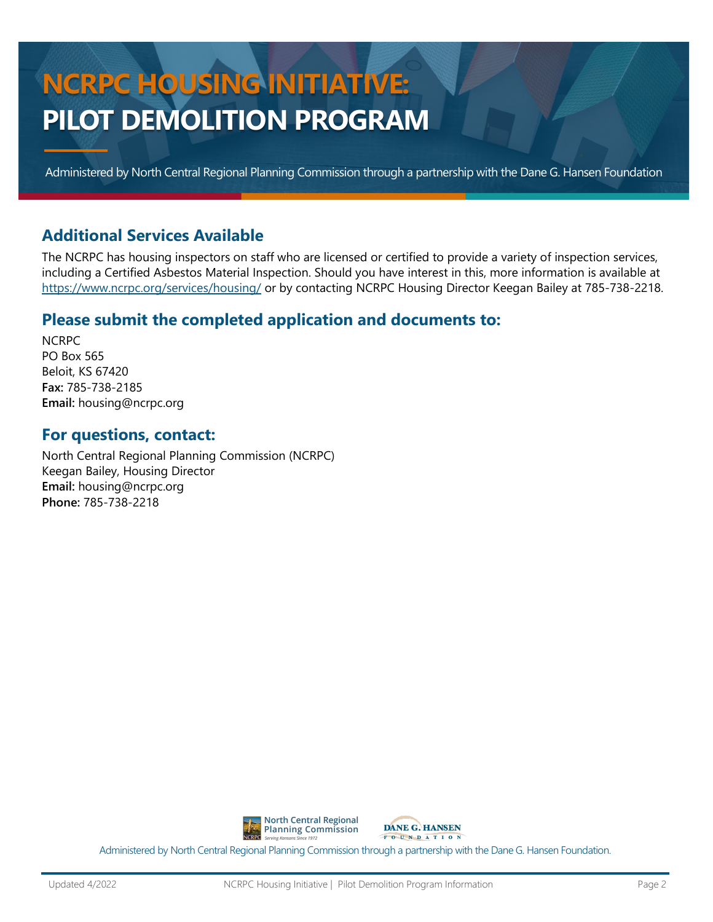# **NCRPC HOUSING INITIATIVE: PILOT DEMOLITION PROGRAM**

Administered by North Central Regional Planning Commission through a partnership with the Dane G. Hansen Foundation

#### **Additional Services Available**

The NCRPC has housing inspectors on staff who are licensed or certified to provide a variety of inspection services, including a Certified Asbestos Material Inspection. Should you have interest in this, more information is available at <https://www.ncrpc.org/services/housing/> or by contacting NCRPC Housing Director Keegan Bailey at 785-738-2218.

#### **Please submit the completed application and documents to:**

**NCRPC** PO Box 565 Beloit, KS 67420 **Fax:** 785-738-2185 **Email:** housing@ncrpc.org

#### **For questions, contact:**

North Central Regional Planning Commission (NCRPC) Keegan Bailey, Housing Director **Email:** housing@ncrpc.org **Phone:** 785-738-2218





Administered by North Central Regional Planning Commission through a partnership with the Dane G. Hansen Foundation.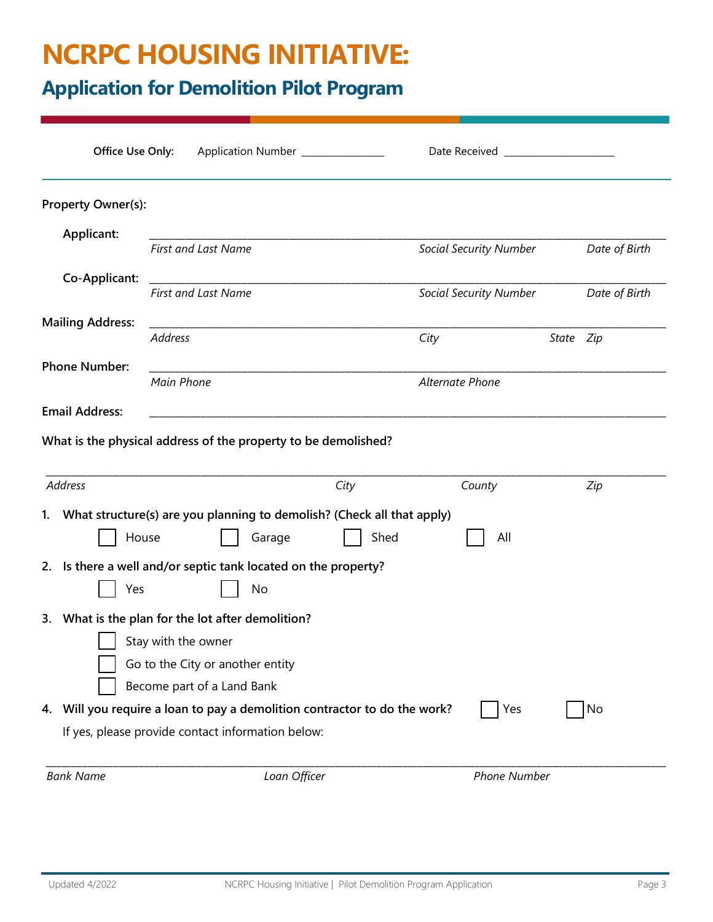### **NCRPC HOUSING INITIATIVE:**

### **Application for Demolition Pilot Program**

|                         | Office Use Only:           |                                                                      | Application Number ______________                                                 | Date Received                 |           |               |
|-------------------------|----------------------------|----------------------------------------------------------------------|-----------------------------------------------------------------------------------|-------------------------------|-----------|---------------|
| Property Owner(s):      |                            |                                                                      |                                                                                   |                               |           |               |
| Applicant:              |                            |                                                                      |                                                                                   |                               |           |               |
|                         | <b>First and Last Name</b> |                                                                      |                                                                                   | <b>Social Security Number</b> |           | Date of Birth |
| Co-Applicant:           |                            |                                                                      |                                                                                   |                               |           |               |
|                         | <b>First and Last Name</b> |                                                                      |                                                                                   | <b>Social Security Number</b> |           | Date of Birth |
| <b>Mailing Address:</b> | <b>Address</b>             |                                                                      |                                                                                   | City                          |           |               |
|                         |                            |                                                                      |                                                                                   |                               | State Zip |               |
| <b>Phone Number:</b>    | Main Phone                 |                                                                      |                                                                                   | <b>Alternate Phone</b>        |           |               |
| <b>Email Address:</b>   |                            |                                                                      |                                                                                   |                               |           |               |
|                         |                            |                                                                      |                                                                                   |                               |           |               |
|                         |                            |                                                                      | City                                                                              | County                        |           | Zip           |
| <b>Address</b>          | House                      | Garage                                                               | 1. What structure(s) are you planning to demolish? (Check all that apply)<br>Shed | All                           |           |               |
|                         | Yes                        | 2. Is there a well and/or septic tank located on the property?<br>No |                                                                                   |                               |           |               |
|                         |                            | 3. What is the plan for the lot after demolition?                    |                                                                                   |                               |           |               |
|                         | Stay with the owner        |                                                                      |                                                                                   |                               |           |               |
|                         |                            | Go to the City or another entity                                     |                                                                                   |                               |           |               |
|                         |                            | Become part of a Land Bank                                           |                                                                                   |                               |           |               |
|                         |                            | If yes, please provide contact information below:                    | 4. Will you require a loan to pay a demolition contractor to do the work?         | Yes                           |           | No            |